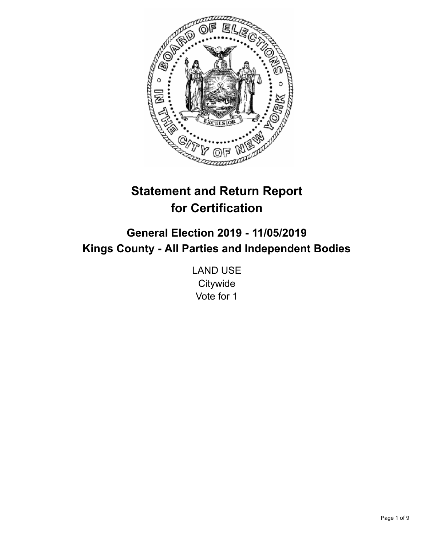

# **Statement and Return Report for Certification**

## **General Election 2019 - 11/05/2019 Kings County - All Parties and Independent Bodies**

LAND USE **Citywide** Vote for 1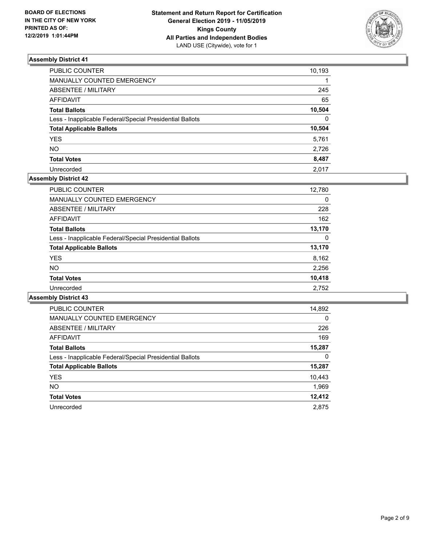

| PUBLIC COUNTER                                           | 10,193       |
|----------------------------------------------------------|--------------|
| MANUALLY COUNTED EMERGENCY                               |              |
| ABSENTEE / MILITARY                                      | 245          |
| AFFIDAVIT                                                | 65           |
| Total Ballots                                            | 10,504       |
| Less - Inapplicable Federal/Special Presidential Ballots | $\mathbf{0}$ |
| <b>Total Applicable Ballots</b>                          | 10,504       |
| YES                                                      | 5,761        |
| NO.                                                      | 2,726        |
| <b>Total Votes</b>                                       | 8,487        |
| Unrecorded                                               | 2.017        |

## **Assembly District 42**

| <b>PUBLIC COUNTER</b>                                    | 12,780 |
|----------------------------------------------------------|--------|
| <b>MANUALLY COUNTED EMERGENCY</b>                        | 0      |
| ABSENTEE / MILITARY                                      | 228    |
| AFFIDAVIT                                                | 162    |
| <b>Total Ballots</b>                                     | 13,170 |
| Less - Inapplicable Federal/Special Presidential Ballots | 0      |
| <b>Total Applicable Ballots</b>                          | 13,170 |
| <b>YES</b>                                               | 8,162  |
| <b>NO</b>                                                | 2,256  |
| <b>Total Votes</b>                                       | 10,418 |
| Unrecorded                                               | 2,752  |

| <b>PUBLIC COUNTER</b>                                    | 14,892   |
|----------------------------------------------------------|----------|
| <b>MANUALLY COUNTED EMERGENCY</b>                        | $\Omega$ |
| ABSENTEE / MILITARY                                      | 226      |
| AFFIDAVIT                                                | 169      |
| <b>Total Ballots</b>                                     | 15,287   |
| Less - Inapplicable Federal/Special Presidential Ballots | 0        |
| <b>Total Applicable Ballots</b>                          | 15,287   |
| <b>YES</b>                                               | 10,443   |
| <b>NO</b>                                                | 1,969    |
| <b>Total Votes</b>                                       | 12,412   |
| Unrecorded                                               | 2.875    |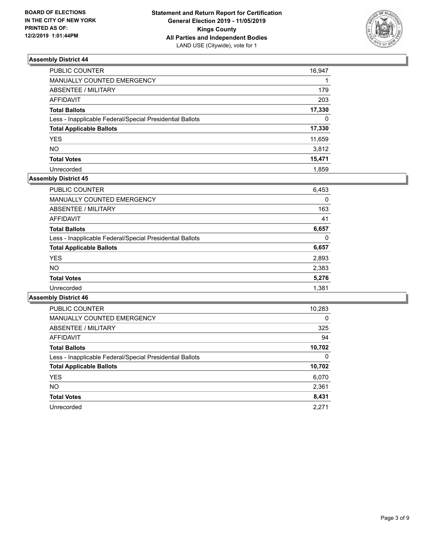

| PUBLIC COUNTER                                           | 16,947   |
|----------------------------------------------------------|----------|
| MANUALLY COUNTED EMERGENCY                               |          |
| ABSENTEE / MILITARY                                      | 179      |
| <b>AFFIDAVIT</b>                                         | 203      |
| <b>Total Ballots</b>                                     | 17,330   |
| Less - Inapplicable Federal/Special Presidential Ballots | $\Omega$ |
| <b>Total Applicable Ballots</b>                          | 17,330   |
| <b>YES</b>                                               | 11,659   |
| NΟ                                                       | 3,812    |
| <b>Total Votes</b>                                       | 15,471   |
| Unrecorded                                               | 1.859    |

## **Assembly District 45**

| <b>PUBLIC COUNTER</b>                                    | 6,453 |
|----------------------------------------------------------|-------|
| <b>MANUALLY COUNTED EMERGENCY</b>                        | 0     |
| ABSENTEE / MILITARY                                      | 163   |
| AFFIDAVIT                                                | 41    |
| <b>Total Ballots</b>                                     | 6,657 |
| Less - Inapplicable Federal/Special Presidential Ballots | 0     |
| <b>Total Applicable Ballots</b>                          | 6,657 |
| <b>YES</b>                                               | 2,893 |
| <b>NO</b>                                                | 2,383 |
| <b>Total Votes</b>                                       | 5,276 |
| Unrecorded                                               | 1,381 |
|                                                          |       |

| <b>PUBLIC COUNTER</b>                                    | 10,283   |
|----------------------------------------------------------|----------|
| <b>MANUALLY COUNTED EMERGENCY</b>                        | $\Omega$ |
| ABSENTEE / MILITARY                                      | 325      |
| <b>AFFIDAVIT</b>                                         | 94       |
| <b>Total Ballots</b>                                     | 10,702   |
| Less - Inapplicable Federal/Special Presidential Ballots | 0        |
| <b>Total Applicable Ballots</b>                          | 10,702   |
| <b>YES</b>                                               | 6,070    |
| NO.                                                      | 2,361    |
| <b>Total Votes</b>                                       | 8,431    |
| Unrecorded                                               | 2.271    |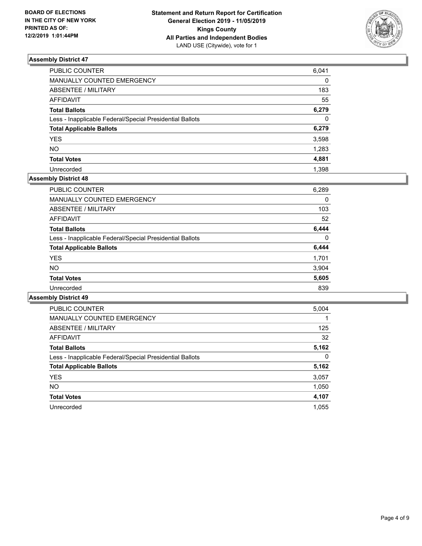

| PUBLIC COUNTER                                           | 6,041    |
|----------------------------------------------------------|----------|
| MANUALLY COUNTED EMERGENCY                               | $\Omega$ |
| ABSENTEE / MILITARY                                      | 183      |
| AFFIDAVIT                                                | 55       |
| <b>Total Ballots</b>                                     | 6,279    |
| Less - Inapplicable Federal/Special Presidential Ballots | $\Omega$ |
| <b>Total Applicable Ballots</b>                          | 6,279    |
| <b>YES</b>                                               | 3,598    |
| <b>NO</b>                                                | 1,283    |
| <b>Total Votes</b>                                       | 4,881    |
| Unrecorded                                               | 1.398    |

## **Assembly District 48**

| PUBLIC COUNTER                                           | 6,289 |
|----------------------------------------------------------|-------|
| MANUALLY COUNTED EMERGENCY                               | 0     |
| ABSENTEE / MILITARY                                      | 103   |
| AFFIDAVIT                                                | 52    |
| <b>Total Ballots</b>                                     | 6,444 |
| Less - Inapplicable Federal/Special Presidential Ballots | 0     |
| <b>Total Applicable Ballots</b>                          | 6,444 |
| <b>YES</b>                                               | 1,701 |
| NO.                                                      | 3.904 |
| <b>Total Votes</b>                                       | 5,605 |
| Unrecorded                                               | 839   |

| <b>PUBLIC COUNTER</b>                                    | 5,004    |
|----------------------------------------------------------|----------|
| <b>MANUALLY COUNTED EMERGENCY</b>                        |          |
| ABSENTEE / MILITARY                                      | 125      |
| <b>AFFIDAVIT</b>                                         | 32       |
| <b>Total Ballots</b>                                     | 5,162    |
| Less - Inapplicable Federal/Special Presidential Ballots | $\Omega$ |
| <b>Total Applicable Ballots</b>                          | 5,162    |
| <b>YES</b>                                               | 3,057    |
| <b>NO</b>                                                | 1,050    |
| <b>Total Votes</b>                                       | 4,107    |
| Unrecorded                                               | 1.055    |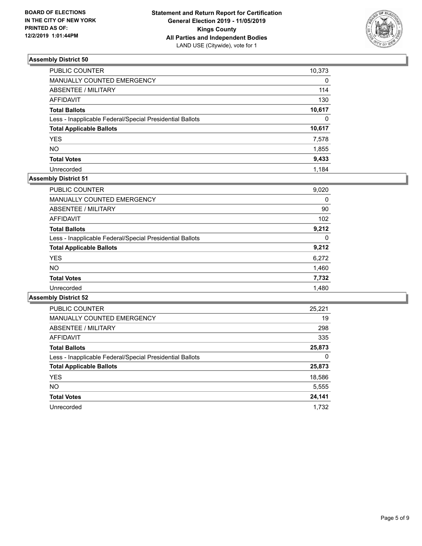

| PUBLIC COUNTER                                           | 10,373   |
|----------------------------------------------------------|----------|
| MANUALLY COUNTED EMERGENCY                               | 0        |
| ABSENTEE / MILITARY                                      | 114      |
| AFFIDAVIT                                                | 130      |
| Total Ballots                                            | 10,617   |
| Less - Inapplicable Federal/Special Presidential Ballots | $\Omega$ |
| <b>Total Applicable Ballots</b>                          | 10,617   |
| <b>YES</b>                                               | 7,578    |
| NO.                                                      | 1,855    |
| <b>Total Votes</b>                                       | 9,433    |
| Unrecorded                                               | 1.184    |

## **Assembly District 51**

| PUBLIC COUNTER                                           | 9,020 |
|----------------------------------------------------------|-------|
|                                                          |       |
| <b>MANUALLY COUNTED EMERGENCY</b>                        | 0     |
| ABSENTEE / MILITARY                                      | 90    |
| AFFIDAVIT                                                | 102   |
| <b>Total Ballots</b>                                     | 9.212 |
| Less - Inapplicable Federal/Special Presidential Ballots | 0     |
| <b>Total Applicable Ballots</b>                          | 9,212 |
| <b>YES</b>                                               | 6,272 |
| <b>NO</b>                                                | 1,460 |
| <b>Total Votes</b>                                       | 7,732 |
| Unrecorded                                               | 1,480 |

| <b>PUBLIC COUNTER</b>                                    | 25,221 |
|----------------------------------------------------------|--------|
| <b>MANUALLY COUNTED EMERGENCY</b>                        | 19     |
| ABSENTEE / MILITARY                                      | 298    |
| <b>AFFIDAVIT</b>                                         | 335    |
| <b>Total Ballots</b>                                     | 25,873 |
| Less - Inapplicable Federal/Special Presidential Ballots | 0      |
| <b>Total Applicable Ballots</b>                          | 25,873 |
| <b>YES</b>                                               | 18,586 |
| NO.                                                      | 5,555  |
| <b>Total Votes</b>                                       | 24,141 |
| Unrecorded                                               | 1.732  |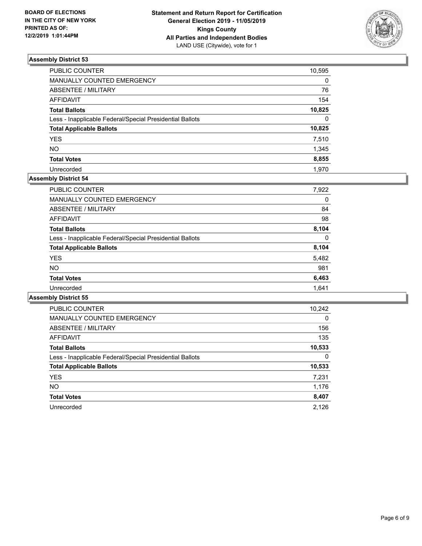

| PUBLIC COUNTER                                           | 10,595       |
|----------------------------------------------------------|--------------|
| MANUALLY COUNTED EMERGENCY                               | 0            |
| ABSENTEE / MILITARY                                      | 76           |
| AFFIDAVIT                                                | 154          |
| Total Ballots                                            | 10,825       |
| Less - Inapplicable Federal/Special Presidential Ballots | $\mathbf{0}$ |
| <b>Total Applicable Ballots</b>                          | 10,825       |
| <b>YES</b>                                               | 7,510        |
| NO.                                                      | 1,345        |
| <b>Total Votes</b>                                       | 8,855        |
| Unrecorded                                               | 1.970        |

## **Assembly District 54**

| PUBLIC COUNTER                                           | 7,922 |
|----------------------------------------------------------|-------|
| <b>MANUALLY COUNTED EMERGENCY</b>                        | 0     |
| ABSENTEE / MILITARY                                      | 84    |
| <b>AFFIDAVIT</b>                                         | 98    |
| <b>Total Ballots</b>                                     | 8.104 |
| Less - Inapplicable Federal/Special Presidential Ballots | 0     |
| <b>Total Applicable Ballots</b>                          | 8,104 |
| <b>YES</b>                                               | 5,482 |
| NO.                                                      | 981   |
| <b>Total Votes</b>                                       | 6,463 |
| Unrecorded                                               | 1.641 |

| <b>PUBLIC COUNTER</b>                                    | 10,242   |
|----------------------------------------------------------|----------|
| <b>MANUALLY COUNTED EMERGENCY</b>                        | $\Omega$ |
| <b>ABSENTEE / MILITARY</b>                               | 156      |
| <b>AFFIDAVIT</b>                                         | 135      |
| <b>Total Ballots</b>                                     | 10,533   |
| Less - Inapplicable Federal/Special Presidential Ballots | 0        |
| <b>Total Applicable Ballots</b>                          | 10,533   |
| <b>YES</b>                                               | 7,231    |
| NO.                                                      | 1,176    |
| <b>Total Votes</b>                                       | 8,407    |
| Unrecorded                                               | 2.126    |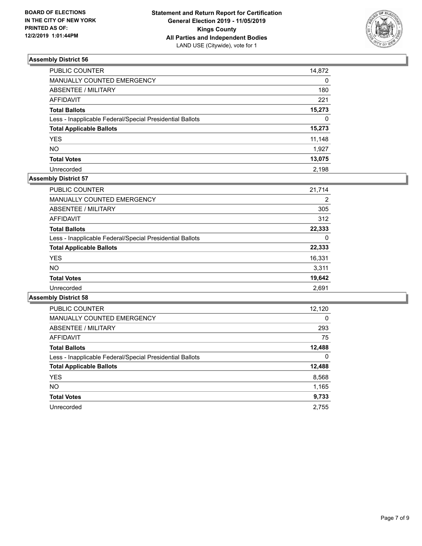

| PUBLIC COUNTER                                           | 14,872   |
|----------------------------------------------------------|----------|
| MANUALLY COUNTED EMERGENCY                               | $\Omega$ |
| <b>ABSENTEE / MILITARY</b>                               | 180      |
| <b>AFFIDAVIT</b>                                         | 221      |
| <b>Total Ballots</b>                                     | 15,273   |
| Less - Inapplicable Federal/Special Presidential Ballots | $\Omega$ |
| <b>Total Applicable Ballots</b>                          | 15,273   |
| <b>YES</b>                                               | 11,148   |
| <b>NO</b>                                                | 1,927    |
| <b>Total Votes</b>                                       | 13,075   |
| Unrecorded                                               | 2.198    |

## **Assembly District 57**

| <b>PUBLIC COUNTER</b>                                    | 21.714         |
|----------------------------------------------------------|----------------|
| <b>MANUALLY COUNTED EMERGENCY</b>                        | $\overline{2}$ |
| ABSENTEE / MILITARY                                      | 305            |
| AFFIDAVIT                                                | 312            |
| <b>Total Ballots</b>                                     | 22,333         |
| Less - Inapplicable Federal/Special Presidential Ballots | 0              |
| <b>Total Applicable Ballots</b>                          | 22,333         |
| <b>YES</b>                                               | 16,331         |
| <b>NO</b>                                                | 3,311          |
| <b>Total Votes</b>                                       | 19,642         |
| Unrecorded                                               | 2.691          |

| <b>PUBLIC COUNTER</b>                                    | 12,120   |
|----------------------------------------------------------|----------|
| <b>MANUALLY COUNTED EMERGENCY</b>                        | $\Omega$ |
| ABSENTEE / MILITARY                                      | 293      |
| <b>AFFIDAVIT</b>                                         | 75       |
| <b>Total Ballots</b>                                     | 12,488   |
| Less - Inapplicable Federal/Special Presidential Ballots | 0        |
| <b>Total Applicable Ballots</b>                          | 12,488   |
| <b>YES</b>                                               | 8,568    |
| NO.                                                      | 1,165    |
| <b>Total Votes</b>                                       | 9,733    |
| Unrecorded                                               | 2.755    |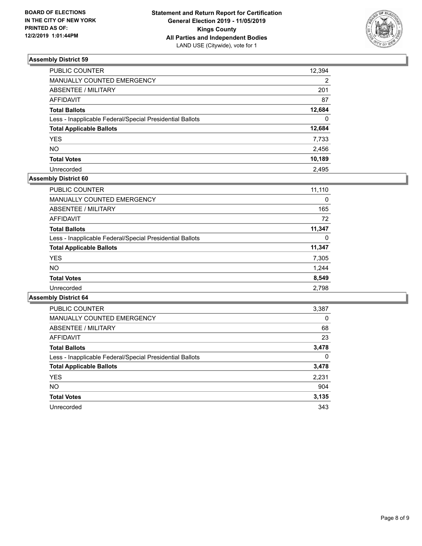

| PUBLIC COUNTER                                           | 12,394   |
|----------------------------------------------------------|----------|
| <b>MANUALLY COUNTED EMERGENCY</b>                        | 2        |
| <b>ABSENTEE / MILITARY</b>                               | 201      |
| <b>AFFIDAVIT</b>                                         | 87       |
| <b>Total Ballots</b>                                     | 12,684   |
| Less - Inapplicable Federal/Special Presidential Ballots | $\Omega$ |
| <b>Total Applicable Ballots</b>                          | 12,684   |
| <b>YES</b>                                               | 7,733    |
| <b>NO</b>                                                | 2,456    |
| <b>Total Votes</b>                                       | 10,189   |
| Unrecorded                                               | 2.495    |

## **Assembly District 60**

| 11,110 |
|--------|
| 0      |
| 165    |
| 72     |
| 11,347 |
| 0      |
| 11,347 |
| 7,305  |
| 1.244  |
| 8,549  |
| 2,798  |
|        |

| <b>PUBLIC COUNTER</b>                                    | 3,387    |
|----------------------------------------------------------|----------|
| <b>MANUALLY COUNTED EMERGENCY</b>                        | $\Omega$ |
| ABSENTEE / MILITARY                                      | 68       |
| AFFIDAVIT                                                | 23       |
| <b>Total Ballots</b>                                     | 3,478    |
| Less - Inapplicable Federal/Special Presidential Ballots | $\Omega$ |
| <b>Total Applicable Ballots</b>                          | 3,478    |
| <b>YES</b>                                               | 2,231    |
| NO.                                                      | 904      |
| <b>Total Votes</b>                                       | 3,135    |
| Unrecorded                                               | 343      |